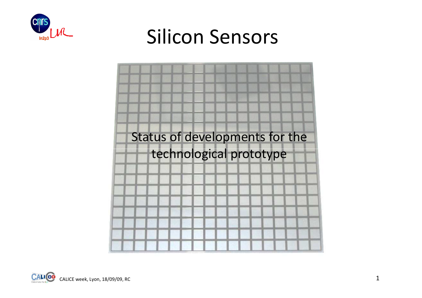

#### Silicon Sensors



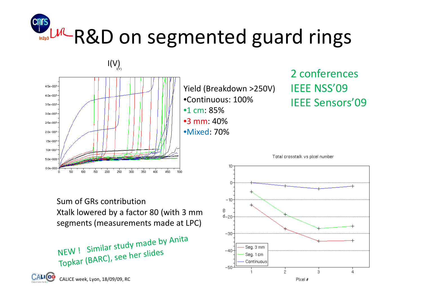# L<sup>IM</sup>-R&D on segmented guard rings



Yield (Breakdown >250V)•Continuous: 100%•1 cm: 85% •3 mm: 40%•Mixed: 70%

#### 2 conferencesIEEE NSS'09IEEE Sensors'09



Sum of GRs contribution Xtalk lowered by a factor 80 (with 3 mm segments (measurements made at LPC)

NEW! Similar study made by Anita NEW ! Similar study there<br>Topkar (BARC), see her slides

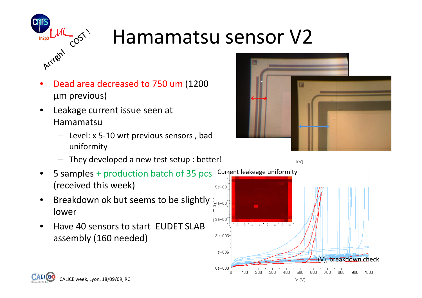

### Hamamatsu sensor V2

- •• Dead area decreased to 750 um (1200 μm previous)
- $\bullet$  Leakage current issue seen at Hamamatsu
	- Level: x 5-10 wrt previous sensors , bad uniformity
	- They developed a new test setup : better!
- 5 samples + production batch of 35 pcs•(received this week) $5e - 00$
- •Breakdown ok but seems to be slightly  $\lambda_{\mathcal{A}^{\text{R-100}}}$ lower
- • Have 40 sensors to start EUDET SLAB assembly (160 needed)



 $I(V)$ 





 $V(V)$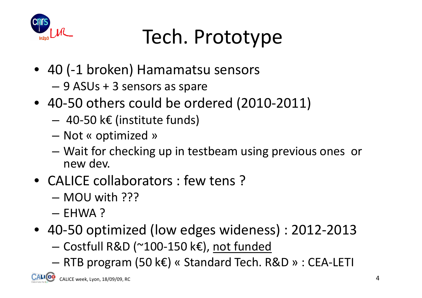

## Tech. Prototype

- 40 (-1 broken) Hamamatsu sensors
	- –9 ASUs + 3 sensors as spare
- 40-50 others could be ordered (2010-2011)
	- 40-50 k€ (institute funds)
	- –– Not « optimized »
	- Wait for checking up in testbeam using previous ones or<br>new dev new dev.
- CALICE collaborators : few tens ?
	- MOU with ???
	- EHWA ?
- 40-50 optimized (low edges wideness) : 2012-2013
	- –— Costfull R&D (~100-150 k€), <u>not funded</u>
	- RTB program (50 k€) « Standard Tech. R&D » : CEA-LETI